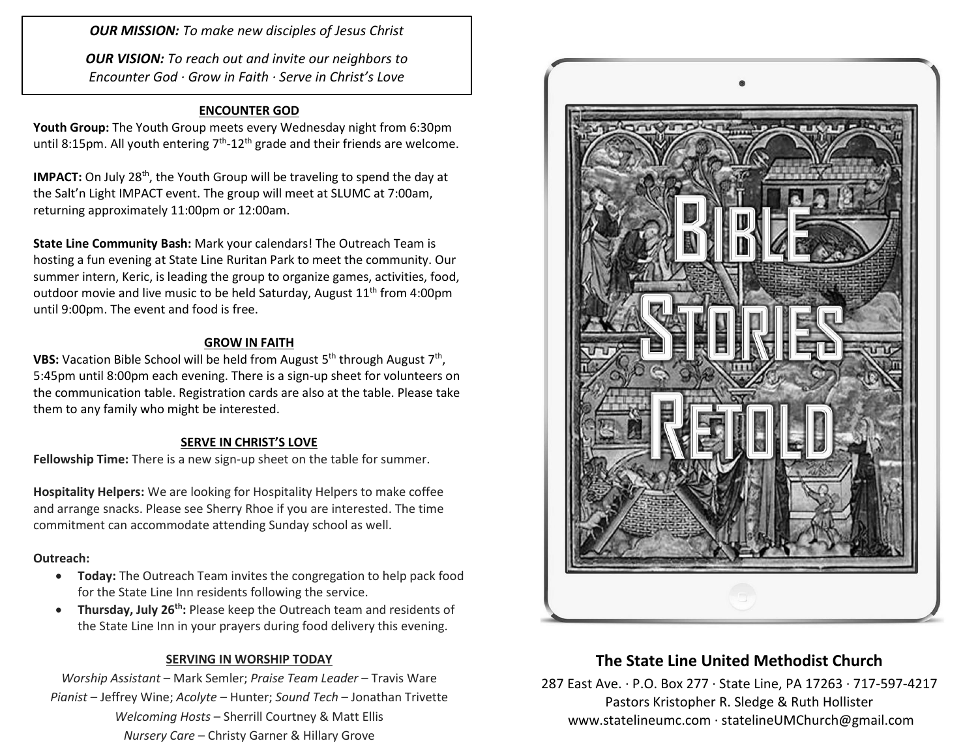*OUR MISSION: To make new disciples of Jesus Christ*

*OUR VISION: To reach out and invite our neighbors to Encounter God · Grow in Faith · Serve in Christ's Love*

## **ENCOUNTER GOD**

**Youth Group:** The Youth Group meets every Wednesday night from 6:30pm until 8:15pm. All youth entering  $7<sup>th</sup>$ -12<sup>th</sup> grade and their friends are welcome.

**IMPACT:** On July 28<sup>th</sup>, the Youth Group will be traveling to spend the day at the Salt'n Light IMPACT event. The group will meet at SLUMC at 7:00am, returning approximately 11:00pm or 12:00am.

**State Line Community Bash:** Mark your calendars! The Outreach Team is hosting a fun evening at State Line Ruritan Park to meet the community. Our summer intern, Keric, is leading the group to organize games, activities, food, outdoor movie and live music to be held Saturday, August 11<sup>th</sup> from 4:00pm until 9:00pm. The event and food is free.

### **GROW IN FAITH**

**VBS:** Vacation Bible School will be held from August 5<sup>th</sup> through August 7<sup>th</sup>, 5:45pm until 8:00pm each evening. There is a sign-up sheet for volunteers on the communication table. Registration cards are also at the table. Please take them to any family who might be interested.

#### **SERVE IN CHRIST'S LOVE**

**Fellowship Time:** There is a new sign-up sheet on the table for summer.

**Hospitality Helpers:** We are looking for Hospitality Helpers to make coffee and arrange snacks. Please see Sherry Rhoe if you are interested. The time commitment can accommodate attending Sunday school as well.

#### **Outreach:**

- **Today:** The Outreach Team invites the congregation to help pack food for the State Line Inn residents following the service.
- **Thursday, July 26<sup>th</sup>:** Please keep the Outreach team and residents of the State Line Inn in your prayers during food delivery this evening.

### **SERVING IN WORSHIP TODAY**

*Worship Assistant* – Mark Semler; *Praise Team Leader* – Travis Ware *Pianist* – Jeffrey Wine; *Acolyte* – Hunter; *Sound Tech* – Jonathan Trivette *Welcoming Hosts* – Sherrill Courtney & Matt Ellis *Nursery Care* – Christy Garner & Hillary Grove



# **The State Line United Methodist Church**

287 East Ave. · P.O. Box 277 · State Line, PA 17263 · 717-597-4217 Pastors Kristopher R. Sledge & Ruth Hollister [www.statelineumc.com](http://www.statelineumc.com/) · statelineUMChurch@gmail.com